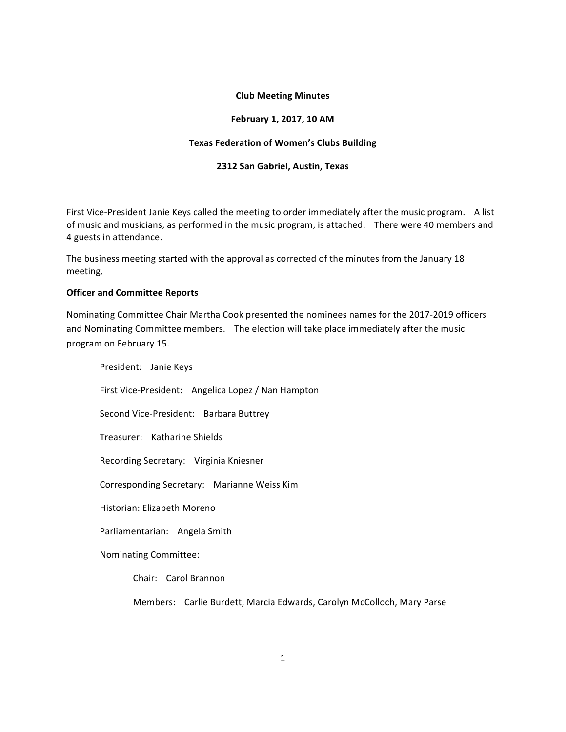# **Club Meeting Minutes**

# **February 1, 2017, 10 AM**

# **Texas Federation of Women's Clubs Building**

#### **2312 San Gabriel, Austin, Texas**

First Vice-President Janie Keys called the meeting to order immediately after the music program. A list of music and musicians, as performed in the music program, is attached. There were 40 members and 4 guests in attendance.

The business meeting started with the approval as corrected of the minutes from the January 18 meeting. 

#### **Officer and Committee Reports**

Nominating Committee Chair Martha Cook presented the nominees names for the 2017-2019 officers and Nominating Committee members. The election will take place immediately after the music program on February 15.

President: Janie Keys First Vice-President: Angelica Lopez / Nan Hampton Second Vice-President: Barbara Buttrey Treasurer: Katharine Shields Recording Secretary: Virginia Kniesner Corresponding Secretary: Marianne Weiss Kim Historian: Elizabeth Moreno Parliamentarian: Angela Smith Nominating Committee: Chair: Carol Brannon

Members: Carlie Burdett, Marcia Edwards, Carolyn McColloch, Mary Parse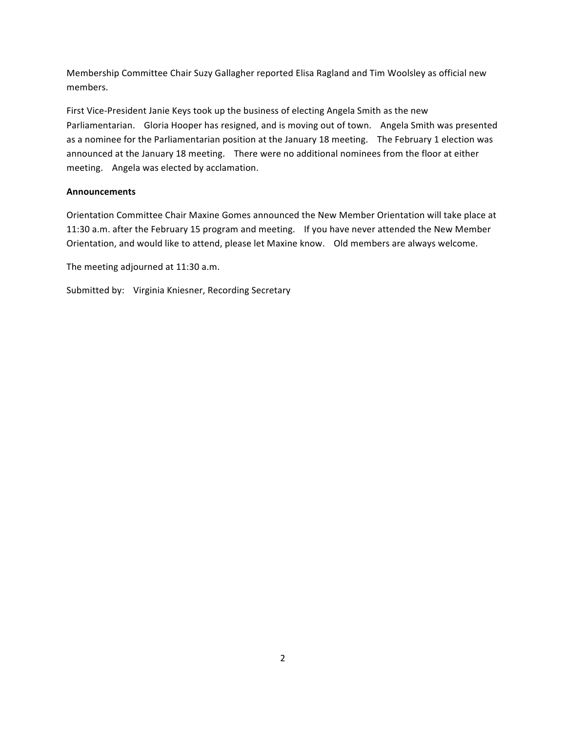Membership Committee Chair Suzy Gallagher reported Elisa Ragland and Tim Woolsley as official new members. 

First Vice-President Janie Keys took up the business of electing Angela Smith as the new Parliamentarian. Gloria Hooper has resigned, and is moving out of town. Angela Smith was presented as a nominee for the Parliamentarian position at the January 18 meeting. The February 1 election was announced at the January 18 meeting. There were no additional nominees from the floor at either meeting. Angela was elected by acclamation.

# **Announcements**

Orientation Committee Chair Maxine Gomes announced the New Member Orientation will take place at 11:30 a.m. after the February 15 program and meeting. If you have never attended the New Member Orientation, and would like to attend, please let Maxine know. Old members are always welcome.

The meeting adjourned at 11:30 a.m.

Submitted by: Virginia Kniesner, Recording Secretary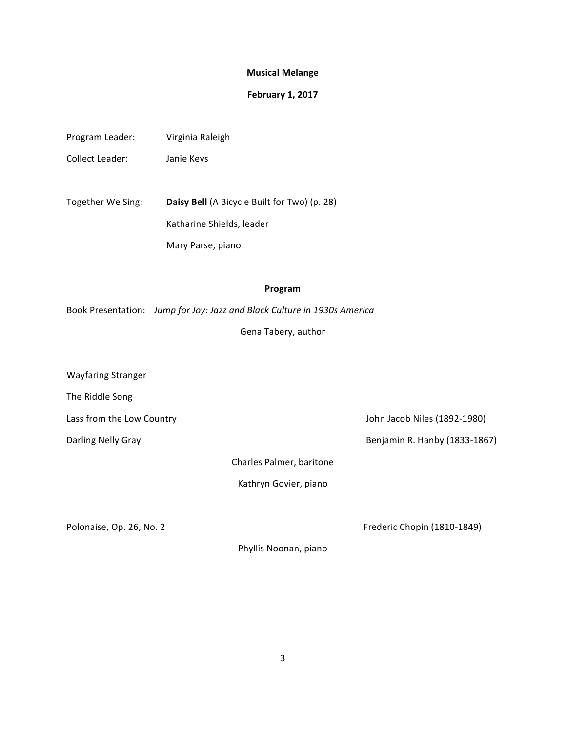# **Musical Melange**

### **February 1, 2017**

| Virginia Raleigh |
|------------------|
|                  |

Collect Leader: Janie Keys

Together We Sing: **Daisy Bell** (A Bicycle Built for Two) (p. 28) Katharine Shields, leader Mary Parse, piano

# **Program**

Book Presentation: Jump for Joy: Jazz and Black Culture in 1930s America

Gena Tabery, author

Wayfaring Stranger

The Riddle Song

Lass from the Low Country and the Low Country and Lass from the Low Country and Lass from the Low Country and L

Darling Nelly Gray **Benjamin R. Hanby** (1833-1867)

Charles Palmer, baritone

Kathryn Govier, piano

Polonaise, Op. 26, No. 2 **Department Control** Frederic Chopin (1810-1849)

Phyllis Noonan, piano